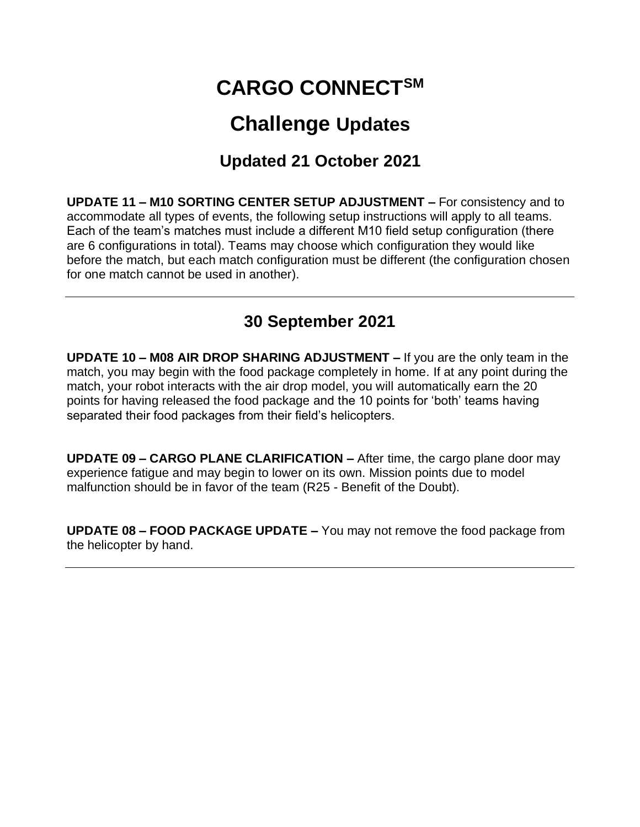# **CARGO CONNECTSM**

## **Challenge Updates**

### **Updated 21 October 2021**

**UPDATE 11 – M10 SORTING CENTER SETUP ADJUSTMENT –** For consistency and to accommodate all types of events, the following setup instructions will apply to all teams. Each of the team's matches must include a different M10 field setup configuration (there are 6 configurations in total). Teams may choose which configuration they would like before the match, but each match configuration must be different (the configuration chosen for one match cannot be used in another).

### **30 September 2021**

**UPDATE 10 – M08 AIR DROP SHARING ADJUSTMENT –** If you are the only team in the match, you may begin with the food package completely in home. If at any point during the match, your robot interacts with the air drop model, you will automatically earn the 20 points for having released the food package and the 10 points for 'both' teams having separated their food packages from their field's helicopters.

**UPDATE 09 – CARGO PLANE CLARIFICATION –** After time, the cargo plane door may experience fatigue and may begin to lower on its own. Mission points due to model malfunction should be in favor of the team (R25 - Benefit of the Doubt).

**UPDATE 08 – FOOD PACKAGE UPDATE –** You may not remove the food package from the helicopter by hand.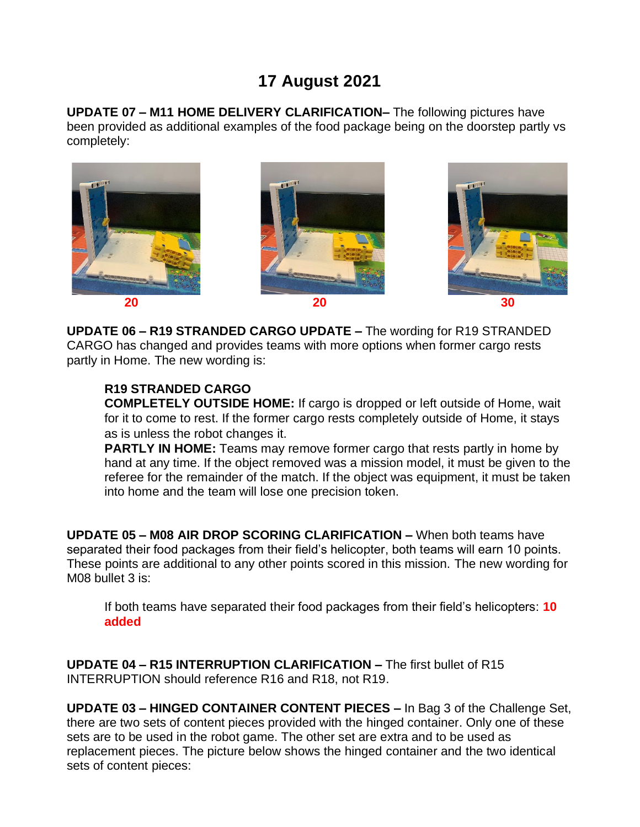### **17 August 2021**

**UPDATE 07 – M11 HOME DELIVERY CLARIFICATION–** The following pictures have been provided as additional examples of the food package being on the doorstep partly vs completely:



**UPDATE 06 – R19 STRANDED CARGO UPDATE –** The wording for R19 STRANDED CARGO has changed and provides teams with more options when former cargo rests partly in Home. The new wording is:

#### **R19 STRANDED CARGO**

**COMPLETELY OUTSIDE HOME:** If cargo is dropped or left outside of Home, wait for it to come to rest. If the former cargo rests completely outside of Home, it stays as is unless the robot changes it.

**PARTLY IN HOME:** Teams may remove former cargo that rests partly in home by hand at any time. If the object removed was a mission model, it must be given to the referee for the remainder of the match. If the object was equipment, it must be taken into home and the team will lose one precision token.

**UPDATE 05 – M08 AIR DROP SCORING CLARIFICATION –** When both teams have separated their food packages from their field's helicopter, both teams will earn 10 points. These points are additional to any other points scored in this mission. The new wording for M08 bullet 3 is:

If both teams have separated their food packages from their field's helicopters: **10 added**

**UPDATE 04 – R15 INTERRUPTION CLARIFICATION –** The first bullet of R15 INTERRUPTION should reference R16 and R18, not R19.

**UPDATE 03 – HINGED CONTAINER CONTENT PIECES –** In Bag 3 of the Challenge Set, there are two sets of content pieces provided with the hinged container. Only one of these sets are to be used in the robot game. The other set are extra and to be used as replacement pieces. The picture below shows the hinged container and the two identical sets of content pieces: